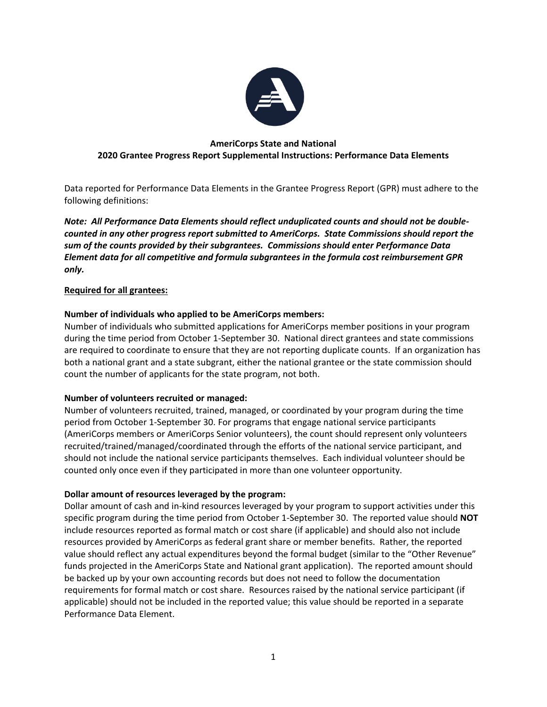

# **AmeriCorps State and National 2020 Grantee Progress Report Supplemental Instructions: Performance Data Elements**

Data reported for Performance Data Elements in the Grantee Progress Report (GPR) must adhere to the following definitions:

*Note: All Performance Data Elements should reflect unduplicated counts and should not be doublecounted in any other progress report submitted to AmeriCorps. State Commissions should report the sum of the counts provided by their subgrantees. Commissions should enter Performance Data Element data for all competitive and formula subgrantees in the formula cost reimbursement GPR only.* 

## **Required for all grantees:**

# **Number of individuals who applied to be AmeriCorps members:**

Number of individuals who submitted applications for AmeriCorps member positions in your program during the time period from October 1-September 30. National direct grantees and state commissions are required to coordinate to ensure that they are not reporting duplicate counts. If an organization has both a national grant and a state subgrant, either the national grantee or the state commission should count the number of applicants for the state program, not both.

## **Number of volunteers recruited or managed:**

Number of volunteers recruited, trained, managed, or coordinated by your program during the time period from October 1-September 30. For programs that engage national service participants (AmeriCorps members or AmeriCorps Senior volunteers), the count should represent only volunteers recruited/trained/managed/coordinated through the efforts of the national service participant, and should not include the national service participants themselves. Each individual volunteer should be counted only once even if they participated in more than one volunteer opportunity.

## **Dollar amount of resources leveraged by the program:**

Dollar amount of cash and in-kind resources leveraged by your program to support activities under this specific program during the time period from October 1-September 30. The reported value should **NOT** include resources reported as formal match or cost share (if applicable) and should also not include resources provided by AmeriCorps as federal grant share or member benefits. Rather, the reported value should reflect any actual expenditures beyond the formal budget (similar to the "Other Revenue" funds projected in the AmeriCorps State and National grant application). The reported amount should be backed up by your own accounting records but does not need to follow the documentation requirements for formal match or cost share. Resources raised by the national service participant (if applicable) should not be included in the reported value; this value should be reported in a separate Performance Data Element.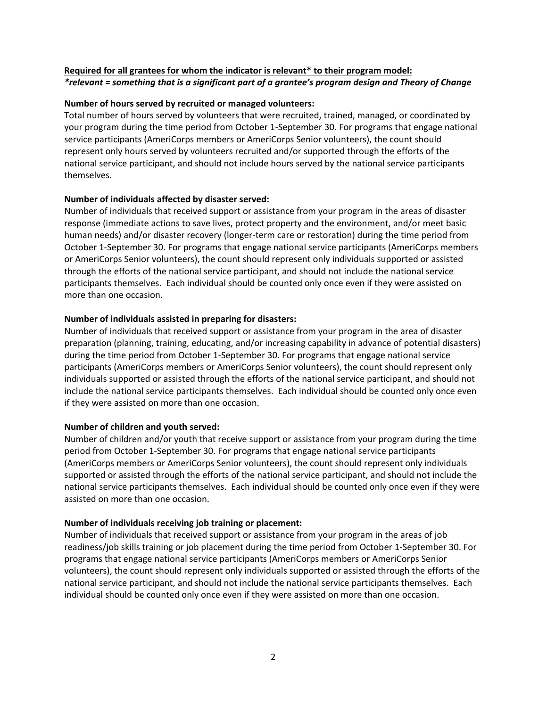# **Required for all grantees for whom the indicator is relevant\* to their program model:** *\*relevant = something that is a significant part of a grantee's program design and Theory of Change*

### **Number of hours served by recruited or managed volunteers:**

Total number of hours served by volunteers that were recruited, trained, managed, or coordinated by your program during the time period from October 1-September 30. For programs that engage national service participants (AmeriCorps members or AmeriCorps Senior volunteers), the count should represent only hours served by volunteers recruited and/or supported through the efforts of the national service participant, and should not include hours served by the national service participants themselves.

### **Number of individuals affected by disaster served:**

Number of individuals that received support or assistance from your program in the areas of disaster response (immediate actions to save lives, protect property and the environment, and/or meet basic human needs) and/or disaster recovery (longer-term care or restoration) during the time period from October 1-September 30. For programs that engage national service participants (AmeriCorps members or AmeriCorps Senior volunteers), the count should represent only individuals supported or assisted through the efforts of the national service participant, and should not include the national service participants themselves. Each individual should be counted only once even if they were assisted on more than one occasion.

### **Number of individuals assisted in preparing for disasters:**

Number of individuals that received support or assistance from your program in the area of disaster preparation (planning, training, educating, and/or increasing capability in advance of potential disasters) during the time period from October 1-September 30. For programs that engage national service participants (AmeriCorps members or AmeriCorps Senior volunteers), the count should represent only individuals supported or assisted through the efforts of the national service participant, and should not include the national service participants themselves. Each individual should be counted only once even if they were assisted on more than one occasion.

#### **Number of children and youth served:**

Number of children and/or youth that receive support or assistance from your program during the time period from October 1-September 30. For programs that engage national service participants (AmeriCorps members or AmeriCorps Senior volunteers), the count should represent only individuals supported or assisted through the efforts of the national service participant, and should not include the national service participants themselves. Each individual should be counted only once even if they were assisted on more than one occasion.

#### **Number of individuals receiving job training or placement:**

Number of individuals that received support or assistance from your program in the areas of job readiness/job skills training or job placement during the time period from October 1-September 30. For programs that engage national service participants (AmeriCorps members or AmeriCorps Senior volunteers), the count should represent only individuals supported or assisted through the efforts of the national service participant, and should not include the national service participants themselves. Each individual should be counted only once even if they were assisted on more than one occasion.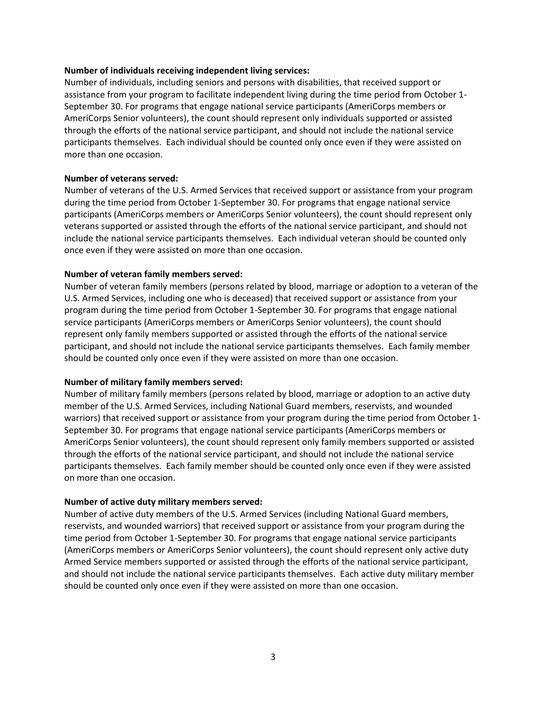#### **Number of individuals receiving independent living services:**

Number of individuals, including seniors and persons with disabilities, that received support or assistance from your program to facilitate independent living during the time period from October 1- September 30. For programs that engage national service participants (AmeriCorps members or AmeriCorps Senior volunteers), the count should represent only individuals supported or assisted through the efforts of the national service participant, and should not include the national service participants themselves. Each individual should be counted only once even if they were assisted on more than one occasion.

### **Number of veterans served:**

Number of veterans of the U.S. Armed Services that received support or assistance from your program during the time period from October 1-September 30. For programs that engage national service participants (AmeriCorps members or AmeriCorps Senior volunteers), the count should represent only veterans supported or assisted through the efforts of the national service participant, and should not include the national service participants themselves. Each individual veteran should be counted only once even if they were assisted on more than one occasion.

### **Number of veteran family members served:**

Number of veteran family members (persons related by blood, marriage or adoption to a veteran of the U.S. Armed Services, including one who is deceased) that received support or assistance from your program during the time period from October 1-September 30. For programs that engage national service participants (AmeriCorps members or AmeriCorps Senior volunteers), the count should represent only family members supported or assisted through the efforts of the national service participant, and should not include the national service participants themselves. Each family member should be counted only once even if they were assisted on more than one occasion.

#### **Number of military family members served:**

Number of military family members (persons related by blood, marriage or adoption to an active duty member of the U.S. Armed Services, including National Guard members, reservists, and wounded warriors) that received support or assistance from your program during the time period from October 1- September 30. For programs that engage national service participants (AmeriCorps members or AmeriCorps Senior volunteers), the count should represent only family members supported or assisted through the efforts of the national service participant, and should not include the national service participants themselves. Each family member should be counted only once even if they were assisted on more than one occasion.

#### **Number of active duty military members served:**

Number of active duty members of the U.S. Armed Services (including National Guard members, reservists, and wounded warriors) that received support or assistance from your program during the time period from October 1-September 30. For programs that engage national service participants (AmeriCorps members or AmeriCorps Senior volunteers), the count should represent only active duty Armed Service members supported or assisted through the efforts of the national service participant, and should not include the national service participants themselves. Each active duty military member should be counted only once even if they were assisted on more than one occasion.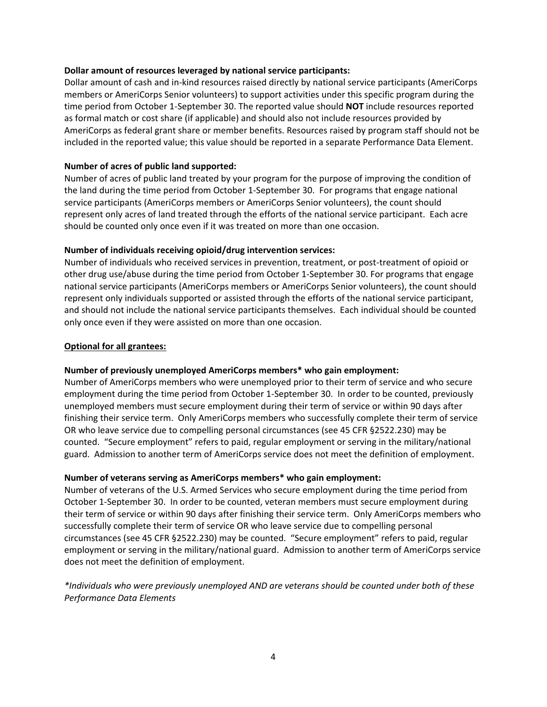### **Dollar amount of resources leveraged by national service participants:**

Dollar amount of cash and in-kind resources raised directly by national service participants (AmeriCorps members or AmeriCorps Senior volunteers) to support activities under this specific program during the time period from October 1-September 30. The reported value should **NOT** include resources reported as formal match or cost share (if applicable) and should also not include resources provided by AmeriCorps as federal grant share or member benefits. Resources raised by program staff should not be included in the reported value; this value should be reported in a separate Performance Data Element.

## **Number of acres of public land supported:**

Number of acres of public land treated by your program for the purpose of improving the condition of the land during the time period from October 1-September 30. For programs that engage national service participants (AmeriCorps members or AmeriCorps Senior volunteers), the count should represent only acres of land treated through the efforts of the national service participant. Each acre should be counted only once even if it was treated on more than one occasion.

### **Number of individuals receiving opioid/drug intervention services:**

Number of individuals who received services in prevention, treatment, or post-treatment of opioid or other drug use/abuse during the time period from October 1-September 30. For programs that engage national service participants (AmeriCorps members or AmeriCorps Senior volunteers), the count should represent only individuals supported or assisted through the efforts of the national service participant, and should not include the national service participants themselves. Each individual should be counted only once even if they were assisted on more than one occasion.

### **Optional for all grantees:**

## **Number of previously unemployed AmeriCorps members\* who gain employment:**

Number of AmeriCorps members who were unemployed prior to their term of service and who secure employment during the time period from October 1-September 30. In order to be counted, previously unemployed members must secure employment during their term of service or within 90 days after finishing their service term. Only AmeriCorps members who successfully complete their term of service OR who leave service due to compelling personal circumstances (see 45 CFR §2522.230) may be counted. "Secure employment" refers to paid, regular employment or serving in the military/national guard. Admission to another term of AmeriCorps service does not meet the definition of employment.

## **Number of veterans serving as AmeriCorps members\* who gain employment:**

Number of veterans of the U.S. Armed Services who secure employment during the time period from October 1-September 30. In order to be counted, veteran members must secure employment during their term of service or within 90 days after finishing their service term. Only AmeriCorps members who successfully complete their term of service OR who leave service due to compelling personal circumstances (see 45 CFR §2522.230) may be counted. "Secure employment" refers to paid, regular employment or serving in the military/national guard. Admission to another term of AmeriCorps service does not meet the definition of employment.

# *\*Individuals who were previously unemployed AND are veterans should be counted under both of these Performance Data Elements*